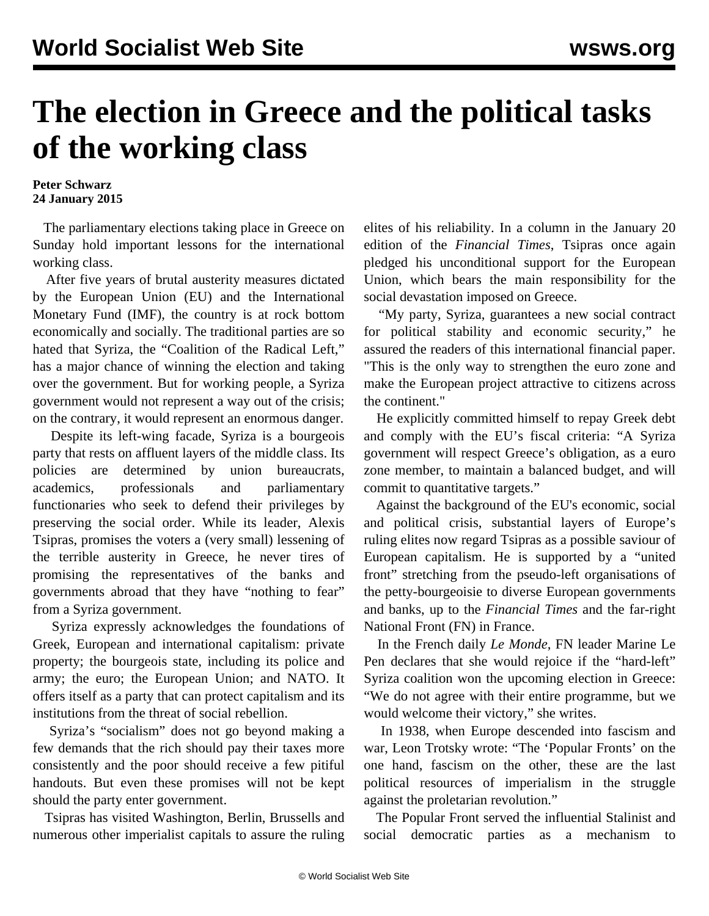## **The election in Greece and the political tasks of the working class**

## **Peter Schwarz 24 January 2015**

 The parliamentary elections taking place in Greece on Sunday hold important lessons for the international working class.

 After five years of brutal austerity measures dictated by the European Union (EU) and the International Monetary Fund (IMF), the country is at rock bottom economically and socially. The traditional parties are so hated that Syriza, the "Coalition of the Radical Left," has a major chance of winning the election and taking over the government. But for working people, a Syriza government would not represent a way out of the crisis; on the contrary, it would represent an enormous danger.

 Despite its left-wing facade, Syriza is a bourgeois party that rests on affluent layers of the middle class. Its policies are determined by union bureaucrats, academics, professionals and parliamentary functionaries who seek to defend their privileges by preserving the social order. While its leader, Alexis Tsipras, promises the voters a (very small) lessening of the terrible austerity in Greece, he never tires of promising the representatives of the banks and governments abroad that they have "nothing to fear" from a Syriza government.

 Syriza expressly acknowledges the foundations of Greek, European and international capitalism: private property; the bourgeois state, including its police and army; the euro; the European Union; and NATO. It offers itself as a party that can protect capitalism and its institutions from the threat of social rebellion.

 Syriza's "socialism" does not go beyond making a few demands that the rich should pay their taxes more consistently and the poor should receive a few pitiful handouts. But even these promises will not be kept should the party enter government.

 Tsipras has visited Washington, Berlin, Brussells and numerous other imperialist capitals to assure the ruling elites of his reliability. In a column in the January 20 edition of the *Financial Times*, Tsipras once again pledged his unconditional support for the European Union, which bears the main responsibility for the social devastation imposed on Greece.

 "My party, Syriza, guarantees a new social contract for political stability and economic security," he assured the readers of this international financial paper. "This is the only way to strengthen the euro zone and make the European project attractive to citizens across the continent."

 He explicitly committed himself to repay Greek debt and comply with the EU's fiscal criteria: "A Syriza government will respect Greece's obligation, as a euro zone member, to maintain a balanced budget, and will commit to quantitative targets."

 Against the background of the EU's economic, social and political crisis, substantial layers of Europe's ruling elites now regard Tsipras as a possible saviour of European capitalism. He is supported by a "united front" stretching from the pseudo-left organisations of the petty-bourgeoisie to diverse European governments and banks, up to the *Financial Times* and the far-right National Front (FN) in France.

 In the French daily *Le Monde*, FN leader Marine Le Pen declares that she would rejoice if the "hard-left" Syriza coalition won the upcoming election in Greece: "We do not agree with their entire programme, but we would welcome their victory," she writes.

 In 1938, when Europe descended into fascism and war, Leon Trotsky wrote: "The 'Popular Fronts' on the one hand, fascism on the other, these are the last political resources of imperialism in the struggle against the proletarian revolution."

 The Popular Front served the influential Stalinist and social democratic parties as a mechanism to